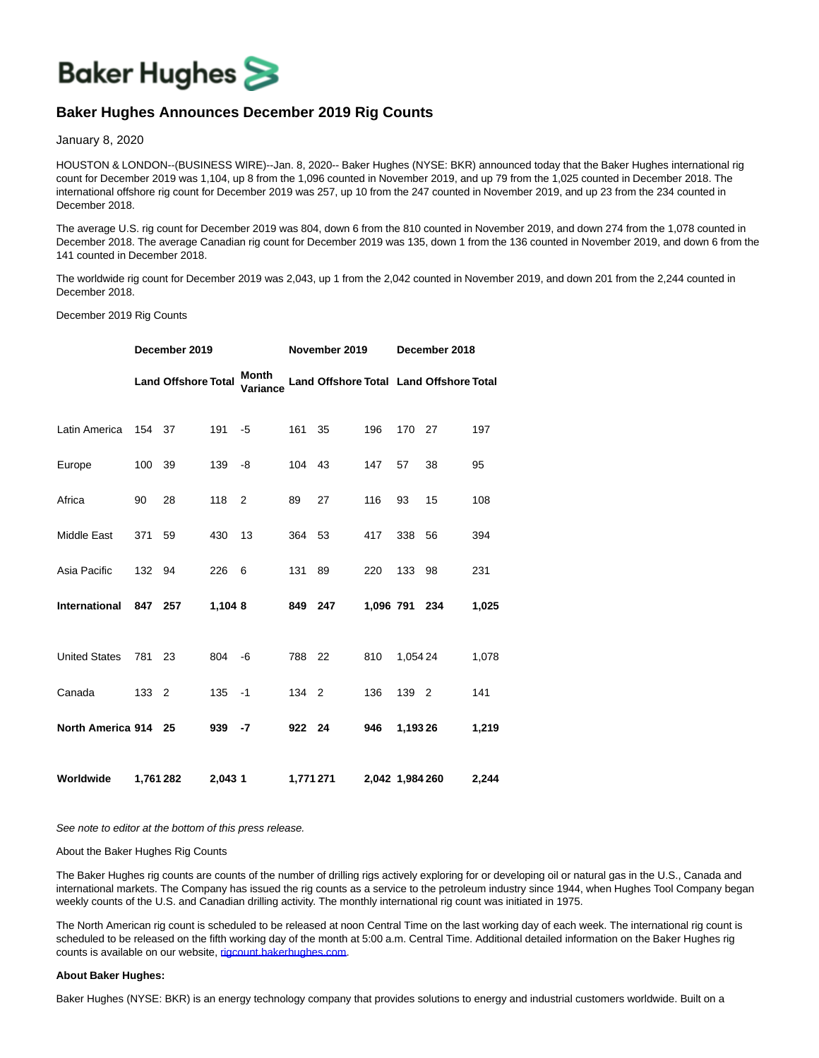

## **Baker Hughes Announces December 2019 Rig Counts**

January 8, 2020

HOUSTON & LONDON--(BUSINESS WIRE)--Jan. 8, 2020-- Baker Hughes (NYSE: BKR) announced today that the Baker Hughes international rig count for December 2019 was 1,104, up 8 from the 1,096 counted in November 2019, and up 79 from the 1,025 counted in December 2018. The international offshore rig count for December 2019 was 257, up 10 from the 247 counted in November 2019, and up 23 from the 234 counted in December 2018.

The average U.S. rig count for December 2019 was 804, down 6 from the 810 counted in November 2019, and down 274 from the 1,078 counted in December 2018. The average Canadian rig count for December 2019 was 135, down 1 from the 136 counted in November 2019, and down 6 from the 141 counted in December 2018.

The worldwide rig count for December 2019 was 2,043, up 1 from the 2,042 counted in November 2019, and down 201 from the 2,244 counted in December 2018.

## December 2019 Rig Counts

|                      | December 2019 |                            |         |                   | November 2019 |                                         |                 | December 2018 |    |       |
|----------------------|---------------|----------------------------|---------|-------------------|---------------|-----------------------------------------|-----------------|---------------|----|-------|
|                      |               | <b>Land Offshore Total</b> |         | Month<br>Variance |               | Land Offshore Total Land Offshore Total |                 |               |    |       |
| Latin America        | 154 37        |                            | 191     | $-5$              | 161           | 35                                      | 196             | 170           | 27 | 197   |
| Europe               | 100           | 39                         | 139     | -8                | 104 43        |                                         | 147             | 57            | 38 | 95    |
| Africa               | 90            | 28                         | 118     | 2                 | 89            | 27                                      | 116             | 93            | 15 | 108   |
| Middle East          | 371           | 59                         | 430     | 13                | 364 53        |                                         | 417             | 338           | 56 | 394   |
| Asia Pacific         | 132 94        |                            | 226     | 6                 | 131           | 89                                      | 220             | 133           | 98 | 231   |
| <b>International</b> | 847 257       |                            | 1,104 8 |                   | 849 247       |                                         | 1.096 791 234   |               |    | 1,025 |
| <b>United States</b> | 781           | 23                         | 804     | -6                | 788           | 22                                      | 810             | 1,054 24      |    | 1,078 |
| Canada               | 133 2         |                            | 135     | $-1$              | 134 2         |                                         | 136             | 139 2         |    | 141   |
| North America 914 25 |               |                            | 939     | -7                | 922 24        |                                         | 946             | 1,19326       |    | 1,219 |
| Worldwide            | 1,761 282     |                            | 2,043 1 |                   | 1,771 271     |                                         | 2,042 1,984 260 |               |    | 2,244 |

See note to editor at the bottom of this press release.

## About the Baker Hughes Rig Counts

The Baker Hughes rig counts are counts of the number of drilling rigs actively exploring for or developing oil or natural gas in the U.S., Canada and international markets. The Company has issued the rig counts as a service to the petroleum industry since 1944, when Hughes Tool Company began weekly counts of the U.S. and Canadian drilling activity. The monthly international rig count was initiated in 1975.

The North American rig count is scheduled to be released at noon Central Time on the last working day of each week. The international rig count is scheduled to be released on the fifth working day of the month at 5:00 a.m. Central Time. Additional detailed information on the Baker Hughes rig counts is available on our website, [rigcount.bakerhughes.com.](https://cts.businesswire.com/ct/CT?id=smartlink&url=http%3A%2F%2Fphx.corporate-ir.net%2Fphoenix.zhtml%3Fc%3D79687%26p%3Dirol-rigcountsoverview&esheet=52155015&newsitemid=20200108005144&lan=en-US&anchor=rigcount.bakerhughes.com&index=1&md5=1a0b2297781e71c9760df5a892cbde54)

## **About Baker Hughes:**

Baker Hughes (NYSE: BKR) is an energy technology company that provides solutions to energy and industrial customers worldwide. Built on a